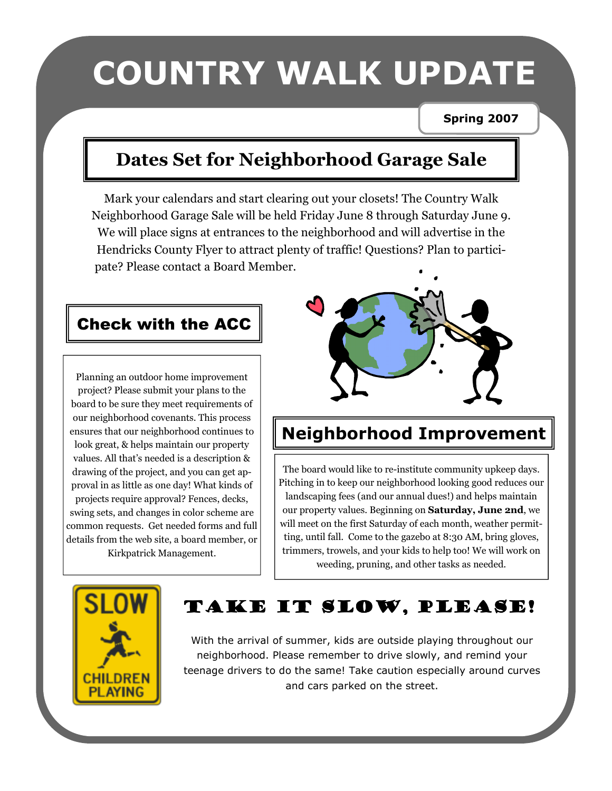# COUNTRY WALK UPDATE

#### Spring 2007

# Dates Set for Neighborhood Garage Sale

Mark your calendars and start clearing out your closets! The Country Walk Neighborhood Garage Sale will be held Friday June 8 through Saturday June 9. We will place signs at entrances to the neighborhood and will advertise in the Hendricks County Flyer to attract plenty of traffic! Questions? Plan to participate? Please contact a Board Member.

## Check with the ACC

Planning an outdoor home improvement project? Please submit your plans to the board to be sure they meet requirements of our neighborhood covenants. This process ensures that our neighborhood continues to look great, & helps maintain our property values. All that's needed is a description & drawing of the project, and you can get approval in as little as one day! What kinds of projects require approval? Fences, decks, swing sets, and changes in color scheme are common requests. Get needed forms and full details from the web site, a board member, or Kirkpatrick Management.



# Neighborhood Improvement

The board would like to re-institute community upkeep days. Pitching in to keep our neighborhood looking good reduces our landscaping fees (and our annual dues!) and helps maintain our property values. Beginning on Saturday, June 2nd, we will meet on the first Saturday of each month, weather permitting, until fall. Come to the gazebo at 8:30 AM, bring gloves, trimmers, trowels, and your kids to help too! We will work on weeding, pruning, and other tasks as needed.



# TAKE IT SLOW, PLEASE!

With the arrival of summer, kids are outside playing throughout our neighborhood. Please remember to drive slowly, and remind your teenage drivers to do the same! Take caution especially around curves and cars parked on the street.